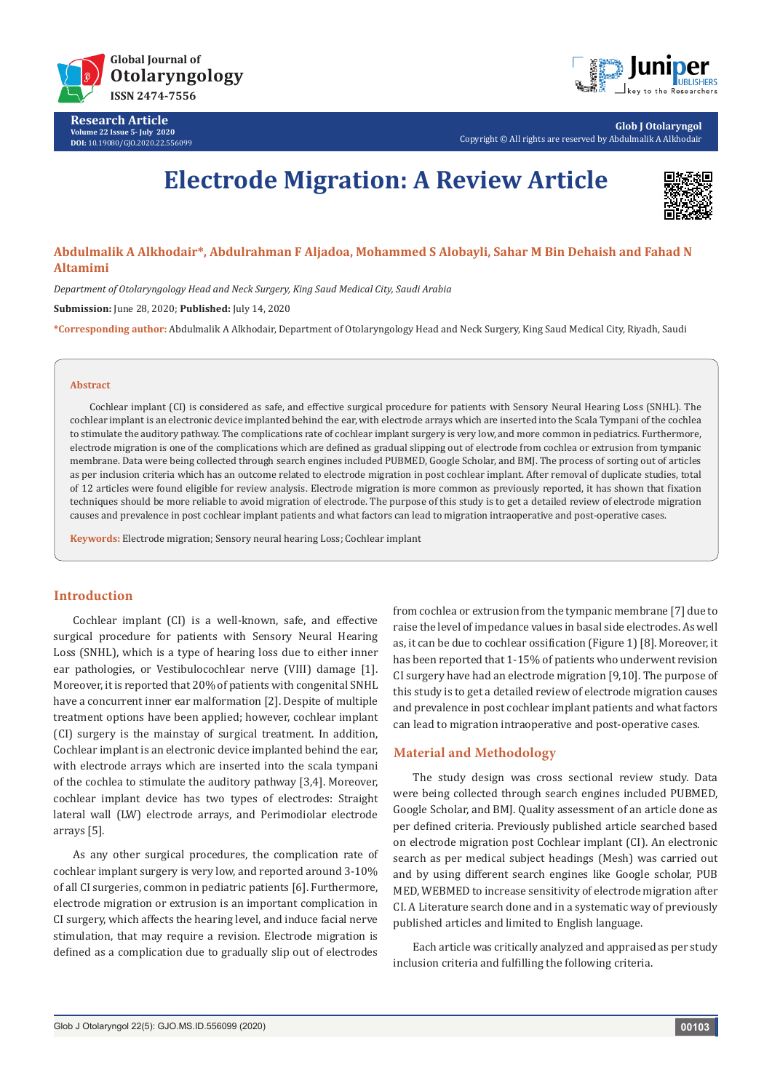

**Research Article Volume 22 Issue 5- July 2020 DOI:** [10.19080/GJO.2020.22.55609](http://dx.doi.org/10.19080/GJO.2020.22.556099)9



**Glob J Otolaryngol** Copyright © All rights are reserved by Abdulmalik A Alkhodair

# **Electrode Migration: A Review Article**



# **Abdulmalik A Alkhodair\*, Abdulrahman F Aljadoa, Mohammed S Alobayli, Sahar M Bin Dehaish and Fahad N Altamimi**

*Department of Otolaryngology Head and Neck Surgery, King Saud Medical City, Saudi Arabia*

**Submission:** June 28, 2020; **Published:** July 14, 2020

**\*Corresponding author:** Abdulmalik A Alkhodair, Department of Otolaryngology Head and Neck Surgery, King Saud Medical City, Riyadh, Saudi

#### **Abstract**

Cochlear implant (CI) is considered as safe, and effective surgical procedure for patients with Sensory Neural Hearing Loss (SNHL). The cochlear implant is an electronic device implanted behind the ear, with electrode arrays which are inserted into the Scala Tympani of the cochlea to stimulate the auditory pathway. The complications rate of cochlear implant surgery is very low, and more common in pediatrics. Furthermore, electrode migration is one of the complications which are defined as gradual slipping out of electrode from cochlea or extrusion from tympanic membrane. Data were being collected through search engines included PUBMED, Google Scholar, and BMJ. The process of sorting out of articles as per inclusion criteria which has an outcome related to electrode migration in post cochlear implant. After removal of duplicate studies, total of 12 articles were found eligible for review analysis. Electrode migration is more common as previously reported, it has shown that fixation techniques should be more reliable to avoid migration of electrode. The purpose of this study is to get a detailed review of electrode migration causes and prevalence in post cochlear implant patients and what factors can lead to migration intraoperative and post-operative cases.

**Keywords:** Electrode migration; Sensory neural hearing Loss; Cochlear implant

## **Introduction**

Cochlear implant (CI) is a well-known, safe, and effective surgical procedure for patients with Sensory Neural Hearing Loss (SNHL), which is a type of hearing loss due to either inner ear pathologies, or Vestibulocochlear nerve (VIII) damage [1]. Moreover, it is reported that 20% of patients with congenital SNHL have a concurrent inner ear malformation [2]. Despite of multiple treatment options have been applied; however, cochlear implant (CI) surgery is the mainstay of surgical treatment. In addition, Cochlear implant is an electronic device implanted behind the ear, with electrode arrays which are inserted into the scala tympani of the cochlea to stimulate the auditory pathway [3,4]. Moreover, cochlear implant device has two types of electrodes: Straight lateral wall (LW) electrode arrays, and Perimodiolar electrode arrays [5].

As any other surgical procedures, the complication rate of cochlear implant surgery is very low, and reported around 3-10% of all CI surgeries, common in pediatric patients [6]. Furthermore, electrode migration or extrusion is an important complication in CI surgery, which affects the hearing level, and induce facial nerve stimulation, that may require a revision. Electrode migration is defined as a complication due to gradually slip out of electrodes from cochlea or extrusion from the tympanic membrane [7] due to raise the level of impedance values in basal side electrodes. As well as, it can be due to cochlear ossification (Figure 1) [8]. Moreover, it has been reported that 1-15% of patients who underwent revision CI surgery have had an electrode migration [9,10]. The purpose of this study is to get a detailed review of electrode migration causes and prevalence in post cochlear implant patients and what factors can lead to migration intraoperative and post-operative cases.

# **Material and Methodology**

The study design was cross sectional review study. Data were being collected through search engines included PUBMED, Google Scholar, and BMJ. Quality assessment of an article done as per defined criteria. Previously published article searched based on electrode migration post Cochlear implant (CI). An electronic search as per medical subject headings (Mesh) was carried out and by using different search engines like Google scholar, PUB MED, WEBMED to increase sensitivity of electrode migration after CI. A Literature search done and in a systematic way of previously published articles and limited to English language.

Each article was critically analyzed and appraised as per study inclusion criteria and fulfilling the following criteria.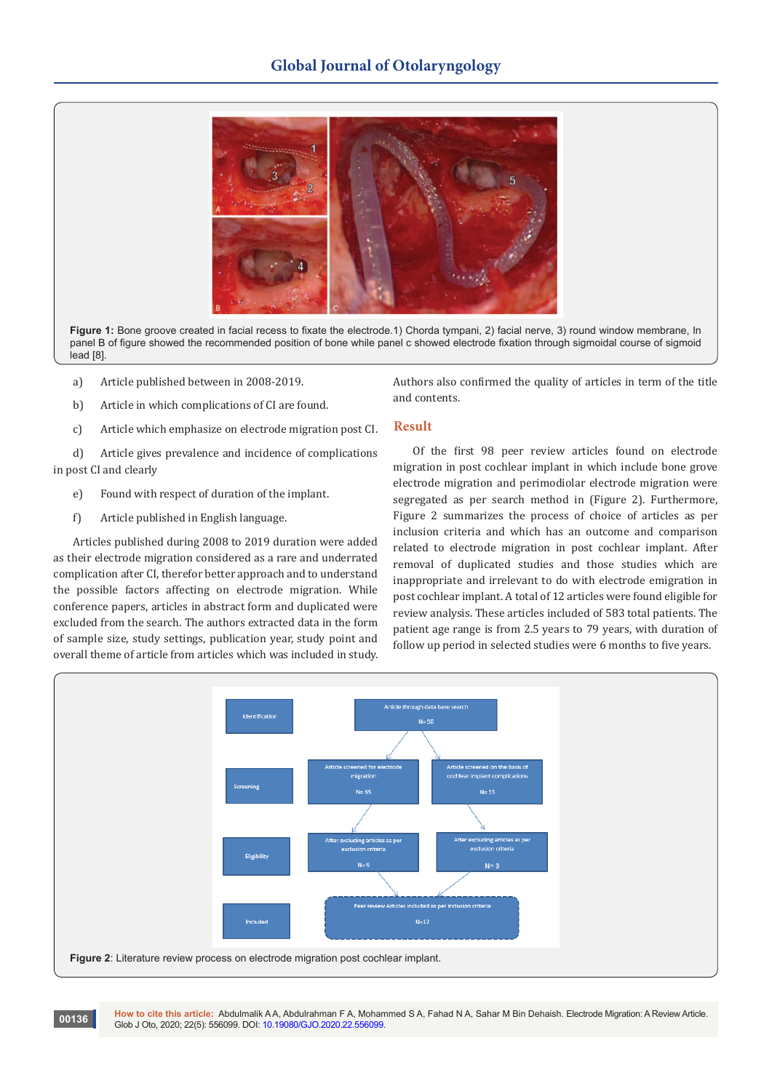# **Global Journal of Otolaryngology**



**Figure 1:** Bone groove created in facial recess to fixate the electrode.1) Chorda tympani, 2) facial nerve, 3) round window membrane, In panel B of figure showed the recommended position of bone while panel c showed electrode fixation through sigmoidal course of sigmoid lead [8].

- a) Article published between in 2008-2019.
- b) Article in which complications of CI are found.
- c) Article which emphasize on electrode migration post CI.

d) Article gives prevalence and incidence of complications in post CI and clearly

- e) Found with respect of duration of the implant.
- f) Article published in English language.

**00136**

Articles published during 2008 to 2019 duration were added as their electrode migration considered as a rare and underrated complication after CI, therefor better approach and to understand the possible factors affecting on electrode migration. While conference papers, articles in abstract form and duplicated were excluded from the search. The authors extracted data in the form of sample size, study settings, publication year, study point and overall theme of article from articles which was included in study.

Authors also confirmed the quality of articles in term of the title and contents.

# **Result**

Of the first 98 peer review articles found on electrode migration in post cochlear implant in which include bone grove electrode migration and perimodiolar electrode migration were segregated as per search method in (Figure 2). Furthermore, Figure 2 summarizes the process of choice of articles as per inclusion criteria and which has an outcome and comparison related to electrode migration in post cochlear implant. After removal of duplicated studies and those studies which are inappropriate and irrelevant to do with electrode emigration in post cochlear implant. A total of 12 articles were found eligible for review analysis. These articles included of 583 total patients. The patient age range is from 2.5 years to 79 years, with duration of follow up period in selected studies were 6 months to five years.



**How to cite this article:** Abdulmalik A A, Abdulrahman F A, Mohammed S A, Fahad N A, Sahar M Bin Dehaish. Electrode Migration: A Review Article. Glob J Oto, 2020; 22(5): 556099. DOI: [10.19080/GJO.2020.22.5560](http://dx.doi.org/10.19080/GJO.2020.22.556099)99.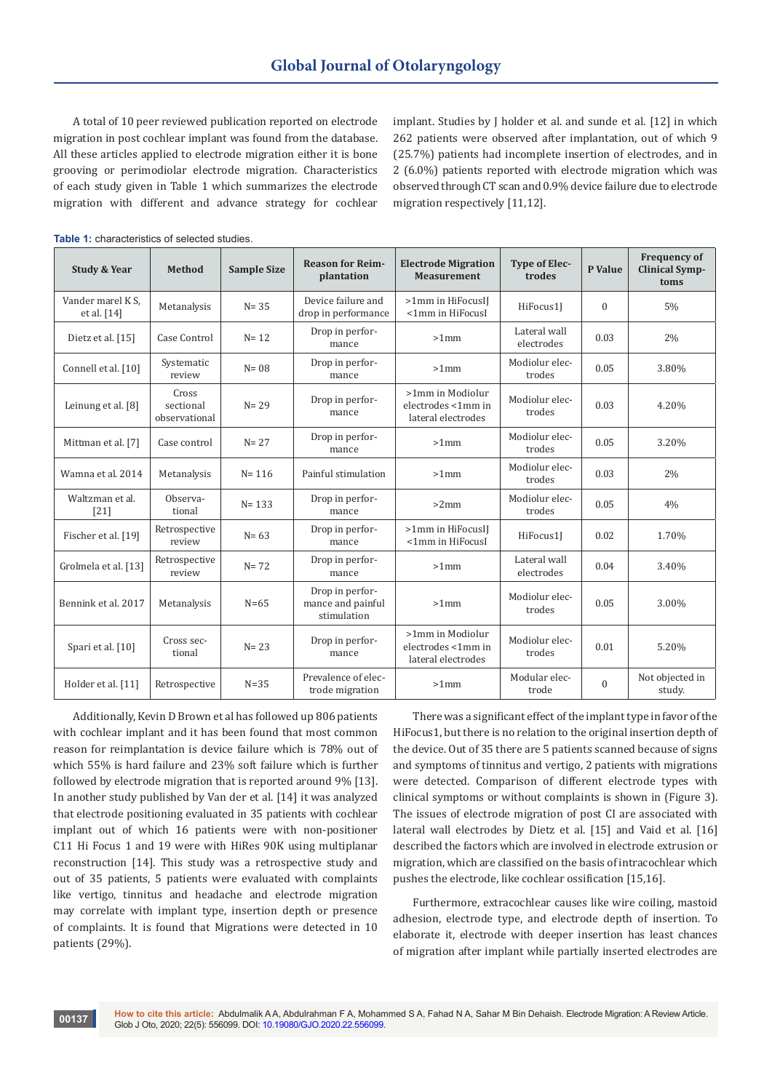A total of 10 peer reviewed publication reported on electrode migration in post cochlear implant was found from the database. All these articles applied to electrode migration either it is bone grooving or perimodiolar electrode migration. Characteristics of each study given in Table 1 which summarizes the electrode migration with different and advance strategy for cochlear implant. Studies by J holder et al. and sunde et al. [12] in which 262 patients were observed after implantation, out of which 9 (25.7%) patients had incomplete insertion of electrodes, and in 2 (6.0%) patients reported with electrode migration which was observed through CT scan and 0.9% device failure due to electrode migration respectively [11,12].

| <b>Study &amp; Year</b>          | <b>Method</b>                       | <b>Sample Size</b> | <b>Reason for Reim-</b><br>plantation               | <b>Electrode Migration</b><br><b>Measurement</b>             | <b>Type of Elec-</b><br>trodes | P Value      | <b>Frequency of</b><br><b>Clinical Symp-</b><br>toms |
|----------------------------------|-------------------------------------|--------------------|-----------------------------------------------------|--------------------------------------------------------------|--------------------------------|--------------|------------------------------------------------------|
| Vander marel K S.<br>et al. [14] | Metanalysis                         | $N = 35$           | Device failure and<br>drop in performance           | >1mm in HiFocusIJ<br><1mm in HiFocusI                        | HiFocus1J                      | $\Omega$     | 5%                                                   |
| Dietz et al. [15]                | Case Control                        | $N = 12$           | Drop in perfor-<br>mance                            | $>1$ mm                                                      | Lateral wall<br>electrodes     | 0.03         | 2%                                                   |
| Connell et al. [10]              | Systematic<br>review                | $N = 08$           | Drop in perfor-<br>mance                            | $>1$ mm                                                      | Modiolur elec-<br>trodes       | 0.05         | 3.80%                                                |
| Leinung et al. [8]               | Cross<br>sectional<br>observational | $N = 29$           | Drop in perfor-<br>mance                            | >1mm in Modiolur<br>electrodes <1mm in<br>lateral electrodes | Modiolur elec-<br>trodes       | 0.03         | 4.20%                                                |
| Mittman et al. [7]               | Case control                        | $N = 27$           | Drop in perfor-<br>mance                            | $>1$ mm                                                      | Modiolur elec-<br>trodes       | 0.05         | 3.20%                                                |
| Wamna et al. 2014                | Metanalysis                         | $N = 116$          | Painful stimulation                                 | $>1$ mm                                                      | Modiolur elec-<br>trodes       | 0.03         | 2%                                                   |
| Waltzman et al.<br>[21]          | Observa-<br>tional                  | $N = 133$          | Drop in perfor-<br>mance                            | $>2$ mm                                                      | Modiolur elec-<br>trodes       | 0.05         | 4%                                                   |
| Fischer et al. [19]              | Retrospective<br>review             | $N = 63$           | Drop in perfor-<br>mance                            | >1mm in HiFocusIJ<br><1mm in HiFocusI                        | HiFocus1J                      | 0.02         | 1.70%                                                |
| Grolmela et al. [13]             | Retrospective<br>review             | $N = 72$           | Drop in perfor-<br>mance                            | $>1$ mm                                                      | Lateral wall<br>electrodes     | 0.04         | 3.40%                                                |
| Bennink et al. 2017              | Metanalysis                         | $N=65$             | Drop in perfor-<br>mance and painful<br>stimulation | $>1$ mm                                                      | Modiolur elec-<br>trodes       | 0.05         | 3.00%                                                |
| Spari et al. [10]                | Cross sec-<br>tional                | $N = 23$           | Drop in perfor-<br>mance                            | >1mm in Modiolur<br>electrodes <1mm in<br>lateral electrodes | Modiolur elec-<br>trodes       | 0.01         | 5.20%                                                |
| Holder et al. [11]               | Retrospective                       | $N=35$             | Prevalence of elec-<br>trode migration              | $>1$ mm                                                      | Modular elec-<br>trode         | $\mathbf{0}$ | Not objected in<br>study.                            |

Table 1: characteristics of selected studies

Additionally, Kevin D Brown et al has followed up 806 patients with cochlear implant and it has been found that most common reason for reimplantation is device failure which is 78% out of which 55% is hard failure and 23% soft failure which is further followed by electrode migration that is reported around 9% [13]. In another study published by Van der et al. [14] it was analyzed that electrode positioning evaluated in 35 patients with cochlear implant out of which 16 patients were with non-positioner C11 Hi Focus 1 and 19 were with HiRes 90K using multiplanar reconstruction [14]. This study was a retrospective study and out of 35 patients, 5 patients were evaluated with complaints like vertigo, tinnitus and headache and electrode migration may correlate with implant type, insertion depth or presence of complaints. It is found that Migrations were detected in 10 patients (29%).

There was a significant effect of the implant type in favor of the HiFocus1, but there is no relation to the original insertion depth of the device. Out of 35 there are 5 patients scanned because of signs and symptoms of tinnitus and vertigo, 2 patients with migrations were detected. Comparison of different electrode types with clinical symptoms or without complaints is shown in (Figure 3). The issues of electrode migration of post CI are associated with lateral wall electrodes by Dietz et al. [15] and Vaid et al. [16] described the factors which are involved in electrode extrusion or migration, which are classified on the basis of intracochlear which pushes the electrode, like cochlear ossification [15,16].

Furthermore, extracochlear causes like wire coiling, mastoid adhesion, electrode type, and electrode depth of insertion. To elaborate it, electrode with deeper insertion has least chances of migration after implant while partially inserted electrodes are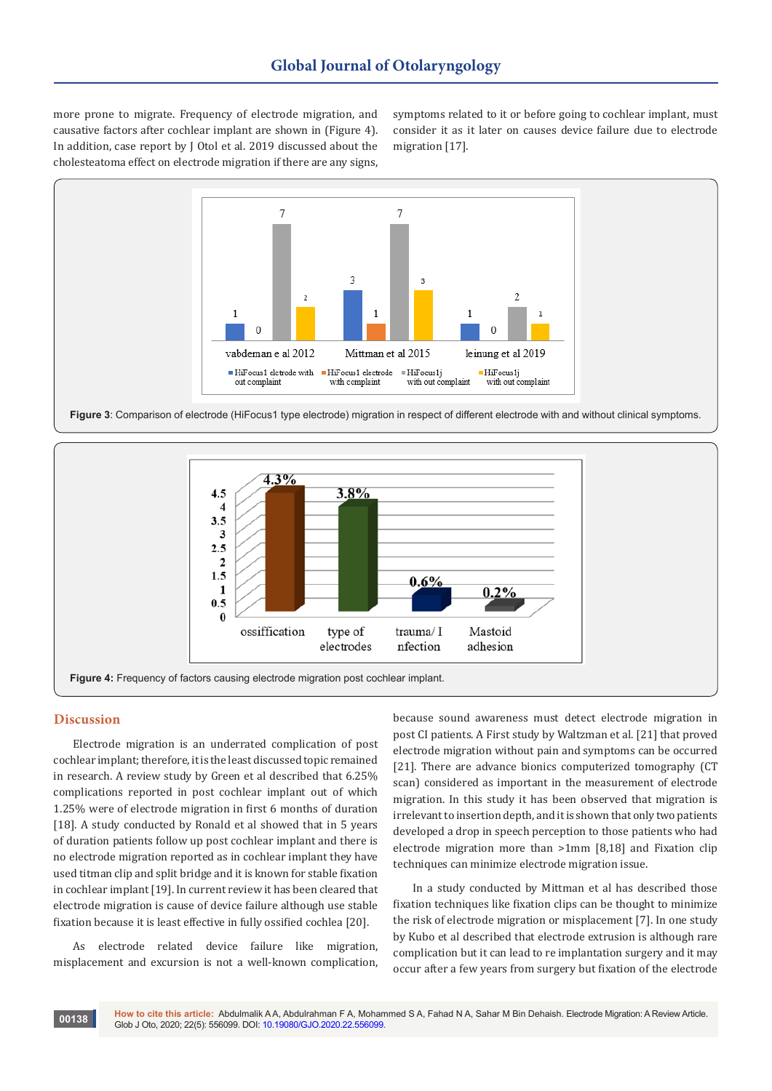more prone to migrate. Frequency of electrode migration, and causative factors after cochlear implant are shown in (Figure 4). In addition, case report by J Otol et al. 2019 discussed about the cholesteatoma effect on electrode migration if there are any signs,

symptoms related to it or before going to cochlear implant, must consider it as it later on causes device failure due to electrode migration [17].



**Figure 3**: Comparison of electrode (HiFocus1 type electrode) migration in respect of different electrode with and without clinical symptoms.



#### **Discussion**

Electrode migration is an underrated complication of post cochlear implant; therefore, it is the least discussed topic remained in research. A review study by Green et al described that 6.25% complications reported in post cochlear implant out of which 1.25% were of electrode migration in first 6 months of duration [18]. A study conducted by Ronald et al showed that in 5 years of duration patients follow up post cochlear implant and there is no electrode migration reported as in cochlear implant they have used titman clip and split bridge and it is known for stable fixation in cochlear implant [19]. In current review it has been cleared that electrode migration is cause of device failure although use stable fixation because it is least effective in fully ossified cochlea [20].

As electrode related device failure like migration, misplacement and excursion is not a well-known complication, because sound awareness must detect electrode migration in post CI patients. A First study by Waltzman et al. [21] that proved electrode migration without pain and symptoms can be occurred [21]. There are advance bionics computerized tomography (CT scan) considered as important in the measurement of electrode migration. In this study it has been observed that migration is irrelevant to insertion depth, and it is shown that only two patients developed a drop in speech perception to those patients who had electrode migration more than >1mm [8,18] and Fixation clip techniques can minimize electrode migration issue.

In a study conducted by Mittman et al has described those fixation techniques like fixation clips can be thought to minimize the risk of electrode migration or misplacement [7]. In one study by Kubo et al described that electrode extrusion is although rare complication but it can lead to re implantation surgery and it may occur after a few years from surgery but fixation of the electrode